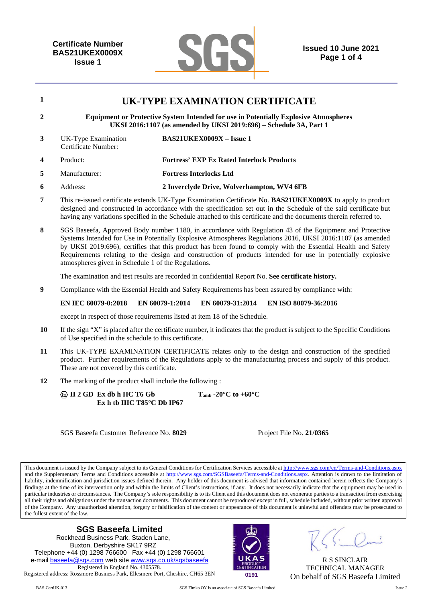

|                  | UK-TYPE EXAMINATION CERTIFICATE                                                                                                                                   |                                                  |  |  |  |
|------------------|-------------------------------------------------------------------------------------------------------------------------------------------------------------------|--------------------------------------------------|--|--|--|
| $\overline{2}$   | <b>Equipment or Protective System Intended for use in Potentially Explosive Atmospheres</b><br>UKSI 2016:1107 (as amended by UKSI 2019:696) - Schedule 3A, Part 1 |                                                  |  |  |  |
| 3                | UK-Type Examination<br>Certificate Number:                                                                                                                        | $BAS21UKEY0009X - Issue 1$                       |  |  |  |
| $\boldsymbol{4}$ | Product:                                                                                                                                                          | <b>Fortress' EXP Ex Rated Interlock Products</b> |  |  |  |
| 5                | Manufacturer:                                                                                                                                                     | <b>Fortress Interlocks Ltd</b>                   |  |  |  |
| 6                | Address:                                                                                                                                                          | 2 Inverclyde Drive, Wolverhampton, WV4 6FB       |  |  |  |

- **7** This re-issued certificate extends UK-Type Examination Certificate No. **BAS21UKEX0009X** to apply to product designed and constructed in accordance with the specification set out in the Schedule of the said certificate but having any variations specified in the Schedule attached to this certificate and the documents therein referred to.
- **8** SGS Baseefa, Approved Body number 1180, in accordance with Regulation 43 of the Equipment and Protective Systems Intended for Use in Potentially Explosive Atmospheres Regulations 2016, UKSI 2016:1107 (as amended by UKSI 2019:696), certifies that this product has been found to comply with the Essential Health and Safety Requirements relating to the design and construction of products intended for use in potentially explosive atmospheres given in Schedule 1 of the Regulations.

The examination and test results are recorded in confidential Report No. **See certificate history.** 

**9** Compliance with the Essential Health and Safety Requirements has been assured by compliance with:

**EN IEC 60079-0:2018 EN 60079-1:2014 EN 60079-31:2014 EN ISO 80079-36:2016** 

except in respect of those requirements listed at item 18 of the Schedule.

- **10** If the sign "X" is placed after the certificate number, it indicates that the product is subject to the Specific Conditions of Use specified in the schedule to this certificate.
- **11** This UK-TYPE EXAMINATION CERTIFICATE relates only to the design and construction of the specified product. Further requirements of the Regulations apply to the manufacturing process and supply of this product. These are not covered by this certificate.
- **12** The marking of the product shall include the following :

 **II 2 GD Ex db h IIC T6 Gb Tamb -20°C to +60°C Ex h tb IIIC T85°C Db IP67** 

SGS Baseefa Customer Reference No. **8029** Project File No. **21/0365** 

This document is issued by the Company subject to its General Conditions for Certification Services accessible at http://www.sgs.com/en/Terms-and-Conditions.aspx and the Supplementary Terms and Conditions accessible at http://www.sgs.com/SGSBaseefa/Terms-and-Conditions.aspx. Attention is drawn to the limitation of liability, indemnification and jurisdiction issues defined therein. Any holder of this document is advised that information contained herein reflects the Company's findings at the time of its intervention only and within the limits of Client's instructions, if any. It does not necessarily indicate that the equipment may be used in particular industries or circumstances. The Company's sole responsibility is to its Client and this document does not exonerate parties to a transaction from exercising all their rights and obligations under the transaction documents. This document cannot be reproduced except in full, schedule included, without prior written approval of the Company. Any unauthorized alteration, forgery or falsification of the content or appearance of this document is unlawful and offenders may be prosecuted to the fullest extent of the law.

## **SGS Baseefa Limited**

Rockhead Business Park, Staden Lane, Buxton, Derbyshire SK17 9RZ Telephone +44 (0) 1298 766600 Fax +44 (0) 1298 766601 e-mail baseefa@sgs.com web site www.sgs.co.uk/sgsbaseefa Registered in England No. 4305578. Registered address: Rossmore Business Park, Ellesmere Port, Cheshire, CH65 3EN **0191**



R S SINCLAIR TECHNICAL MANAGER On behalf of SGS Baseefa Limited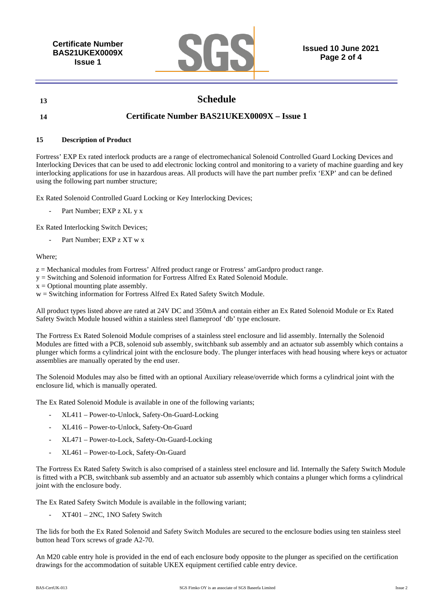**Certificate Number BAS21UKEX0009X Issue 1** 



**Issued 10 June 2021 Page 2 of 4** 

# **13 Schedule**

## **14 Certificate Number BAS21UKEX0009X – Issue 1**

### **15 Description of Product**

Fortress' EXP Ex rated interlock products are a range of electromechanical Solenoid Controlled Guard Locking Devices and Interlocking Devices that can be used to add electronic locking control and monitoring to a variety of machine guarding and key interlocking applications for use in hazardous areas. All products will have the part number prefix 'EXP' and can be defined using the following part number structure;

Ex Rated Solenoid Controlled Guard Locking or Key Interlocking Devices;

Part Number; EXP z XL y x

Ex Rated Interlocking Switch Devices;

Part Number: EXP z XT w x

### Where;

- z = Mechanical modules from Fortress' Alfred product range or Frotress' amGardpro product range.
- y = Switching and Solenoid information for Fortress Alfred Ex Rated Solenoid Module.
- $x =$  Optional mounting plate assembly.

w = Switching information for Fortress Alfred Ex Rated Safety Switch Module.

All product types listed above are rated at 24V DC and 350mA and contain either an Ex Rated Solenoid Module or Ex Rated Safety Switch Module housed within a stainless steel flameproof 'db' type enclosure.

The Fortress Ex Rated Solenoid Module comprises of a stainless steel enclosure and lid assembly. Internally the Solenoid Modules are fitted with a PCB, solenoid sub assembly, switchbank sub assembly and an actuator sub assembly which contains a plunger which forms a cylindrical joint with the enclosure body. The plunger interfaces with head housing where keys or actuator assemblies are manually operated by the end user.

The Solenoid Modules may also be fitted with an optional Auxiliary release/override which forms a cylindrical joint with the enclosure lid, which is manually operated.

The Ex Rated Solenoid Module is available in one of the following variants;

- XL411 Power-to-Unlock, Safety-On-Guard-Locking
- XL416 Power-to-Unlock, Safety-On-Guard
- XL471 Power-to-Lock, Safety-On-Guard-Locking
- XL461 Power-to-Lock, Safety-On-Guard

The Fortress Ex Rated Safety Switch is also comprised of a stainless steel enclosure and lid. Internally the Safety Switch Module is fitted with a PCB, switchbank sub assembly and an actuator sub assembly which contains a plunger which forms a cylindrical joint with the enclosure body.

The Ex Rated Safety Switch Module is available in the following variant;

- XT401 – 2NC, 1NO Safety Switch

The lids for both the Ex Rated Solenoid and Safety Switch Modules are secured to the enclosure bodies using ten stainless steel button head Torx screws of grade A2-70.

An M20 cable entry hole is provided in the end of each enclosure body opposite to the plunger as specified on the certification drawings for the accommodation of suitable UKEX equipment certified cable entry device.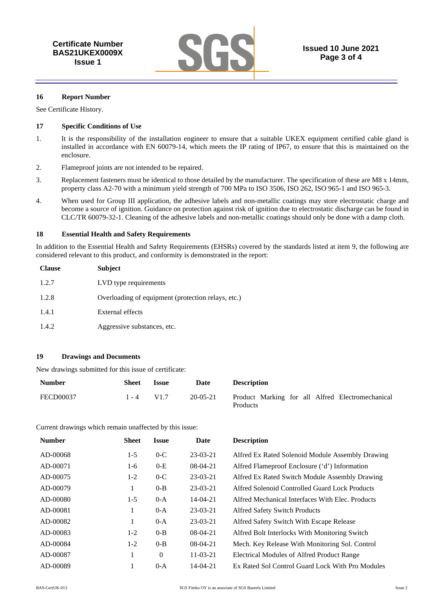

#### **16 Report Number**

See Certificate History.

#### **17 Specific Conditions of Use**

- 1. It is the responsibility of the installation engineer to ensure that a suitable UKEX equipment certified cable gland is installed in accordance with EN 60079-14, which meets the IP rating of IP67, to ensure that this is maintained on the enclosure.
- 2. Flameproof joints are not intended to be repaired.
- 3. Replacement fasteners must be identical to those detailed by the manufacturer. The specification of these are M8 x 14mm, property class A2-70 with a minimum yield strength of 700 MPa to ISO 3506, ISO 262, ISO 965-1 and ISO 965-3.
- 4. When used for Group III application, the adhesive labels and non-metallic coatings may store electrostatic charge and become a source of ignition. Guidance on protection against risk of ignition due to electrostatic discharge can be found in CLC/TR 60079-32-1. Cleaning of the adhesive labels and non-metallic coatings should only be done with a damp cloth.

#### **18 Essential Health and Safety Requirements**

In addition to the Essential Health and Safety Requirements (EHSRs) covered by the standards listed at item 9, the following are considered relevant to this product, and conformity is demonstrated in the report:

| <b>Clause</b> | Subject                                            |
|---------------|----------------------------------------------------|
| 1.2.7         | LVD type requirements                              |
| 1.2.8         | Overloading of equipment (protection relays, etc.) |
| 1.4.1         | External effects                                   |
| 1.4.2         | Aggressive substances, etc.                        |

### **19 Drawings and Documents**

New drawings submitted for this issue of certificate:

| <b>Number</b> | Sheet        | <i><b>Issue</b></i> | Date       | <b>Description</b>                                           |
|---------------|--------------|---------------------|------------|--------------------------------------------------------------|
| FECD00037     | $1 - 4$ V1.7 |                     | $20-05-21$ | Product Marking for all Alfred Electromechanical<br>Products |

Current drawings which remain unaffected by this issue:

| <b>Number</b> | <b>Sheet</b> | <i><b>Issue</b></i> | Date           | <b>Description</b>                               |
|---------------|--------------|---------------------|----------------|--------------------------------------------------|
| AD-00068      | $1-5$        | $0-C$               | $23-03-21$     | Alfred Ex Rated Solenoid Module Assembly Drawing |
| AD-00071      | 1-6          | $0-E$               | $08-04-21$     | Alfred Flameproof Enclosure ('d') Information    |
| AD-00075      | $1-2$        | $0-C$               | $23-03-21$     | Alfred Ex Rated Switch Module Assembly Drawing   |
| AD-00079      | 1            | $0 - B$             | $23-03-21$     | Alfred Solenoid Controlled Guard Lock Products   |
| AD-00080      | $1-5$        | $0-A$               | $14 - 04 - 21$ | Alfred Mechanical Interfaces With Elec. Products |
| AD-00081      | 1            | $0-A$               | $23-03-21$     | <b>Alfred Safety Switch Products</b>             |
| AD-00082      | 1            | $0-A$               | $23-03-21$     | Alfred Safety Switch With Escape Release         |
| AD-00083      | $1-2$        | $0 - B$             | $08-04-21$     | Alfred Bolt Interlocks With Monitoring Switch    |
| AD-00084      | $1-2$        | $0 - B$             | $08-04-21$     | Mech. Key Release With Monitoring Sol. Control   |
| AD-00087      | 1            | $\theta$            | $11 - 03 - 21$ | Electrical Modules of Alfred Product Range       |
| AD-00089      |              | $0-A$               | $14 - 04 - 21$ | Ex Rated Sol Control Guard Lock With Pro Modules |